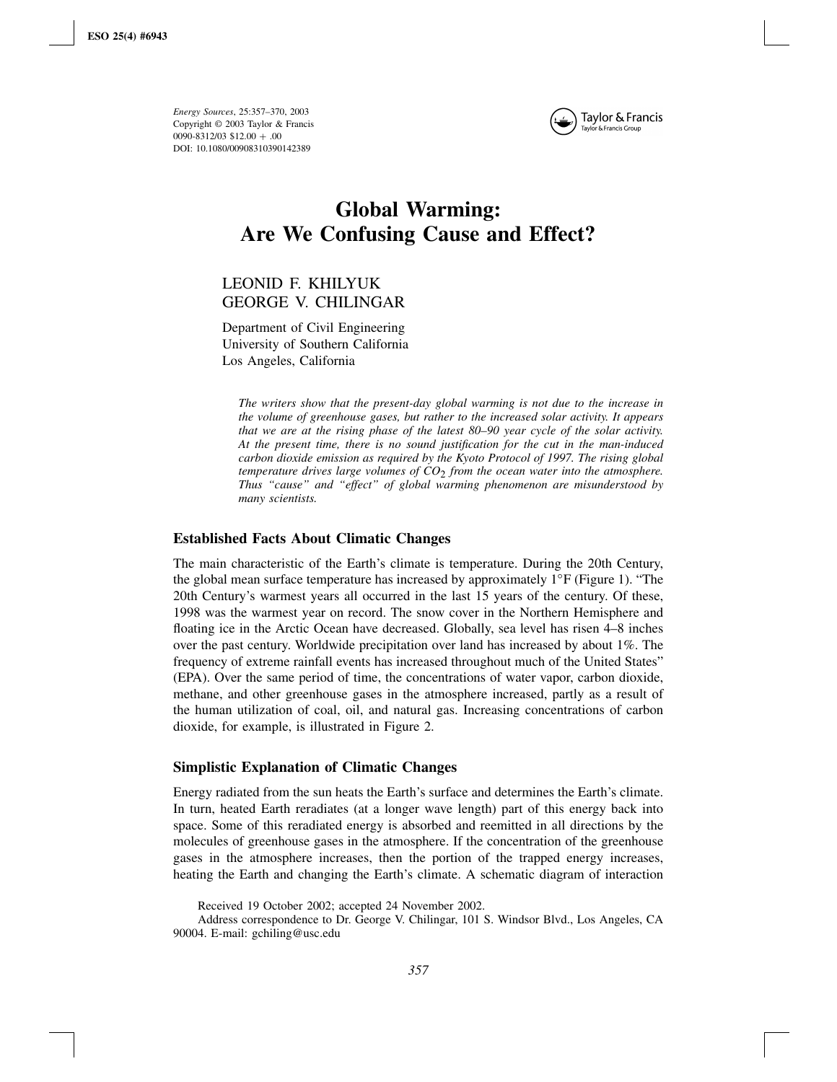*Energy Sources*, 25:357–370, 2003 Copyright © 2003 Taylor & Francis 0090-8312/03 \$12.00 + .00 DOI: 10.1080/00908310390142389



# **Global Warming: Are We Confusing Cause and Effect?**

# LEONID F. KHILYUK GEORGE V. CHILINGAR

Department of Civil Engineering University of Southern California Los Angeles, California

*The writers show that the present-day global warming is not due to the increase in the volume of greenhouse gases, but rather to the increased solar activity. It appears that we are at the rising phase of the latest 80–90 year cycle of the solar activity. At the present time, there is no sound justification for the cut in the man-induced carbon dioxide emission as required by the Kyoto Protocol of 1997. The rising global temperature drives large volumes of CO*2 *from the ocean water into the atmosphere. Thus "cause" and "effect" of global warming phenomenon are misunderstood by many scientists.*

# **Established Facts About Climatic Changes**

The main characteristic of the Earth's climate is temperature. During the 20th Century, the global mean surface temperature has increased by approximately 1◦F (Figure 1). "The 20th Century's warmest years all occurred in the last 15 years of the century. Of these, 1998 was the warmest year on record. The snow cover in the Northern Hemisphere and floating ice in the Arctic Ocean have decreased. Globally, sea level has risen 4–8 inches over the past century. Worldwide precipitation over land has increased by about 1%. The frequency of extreme rainfall events has increased throughout much of the United States" (EPA). Over the same period of time, the concentrations of water vapor, carbon dioxide, methane, and other greenhouse gases in the atmosphere increased, partly as a result of the human utilization of coal, oil, and natural gas. Increasing concentrations of carbon dioxide, for example, is illustrated in Figure 2.

# **Simplistic Explanation of Climatic Changes**

Energy radiated from the sun heats the Earth's surface and determines the Earth's climate. In turn, heated Earth reradiates (at a longer wave length) part of this energy back into space. Some of this reradiated energy is absorbed and reemitted in all directions by the molecules of greenhouse gases in the atmosphere. If the concentration of the greenhouse gases in the atmosphere increases, then the portion of the trapped energy increases, heating the Earth and changing the Earth's climate. A schematic diagram of interaction

Received 19 October 2002; accepted 24 November 2002.

Address correspondence to Dr. George V. Chilingar, 101 S. Windsor Blvd., Los Angeles, CA 90004. E-mail: gchiling@usc.edu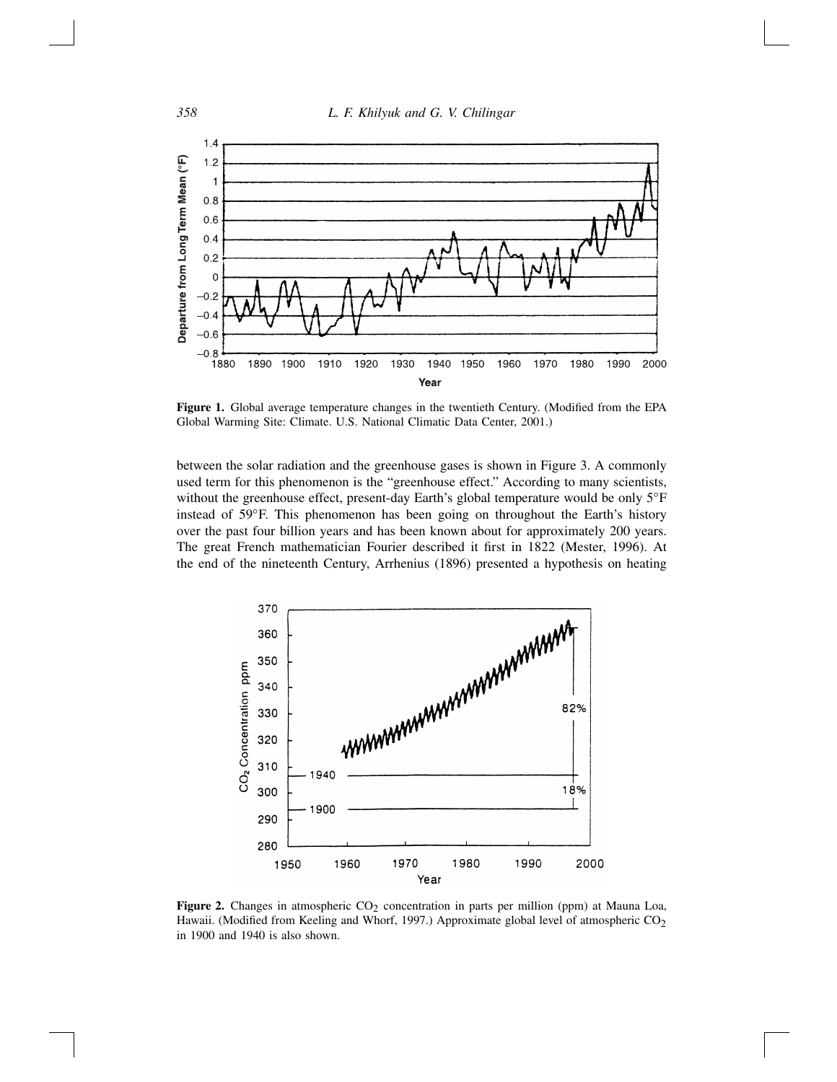

**Figure 1.** Global average temperature changes in the twentieth Century. (Modified from the EPA Global Warming Site: Climate. U.S. National Climatic Data Center, 2001.)

between the solar radiation and the greenhouse gases is shown in Figure 3. A commonly used term for this phenomenon is the "greenhouse effect." According to many scientists, without the greenhouse effect, present-day Earth's global temperature would be only 5°F instead of 59<sup>°</sup>F. This phenomenon has been going on throughout the Earth's history over the past four billion years and has been known about for approximately 200 years. The great French mathematician Fourier described it first in 1822 (Mester, 1996). At the end of the nineteenth Century, Arrhenius (1896) presented a hypothesis on heating



Figure 2. Changes in atmospheric CO<sub>2</sub> concentration in parts per million (ppm) at Mauna Loa, Hawaii. (Modified from Keeling and Whorf, 1997.) Approximate global level of atmospheric  $CO<sub>2</sub>$ in 1900 and 1940 is also shown.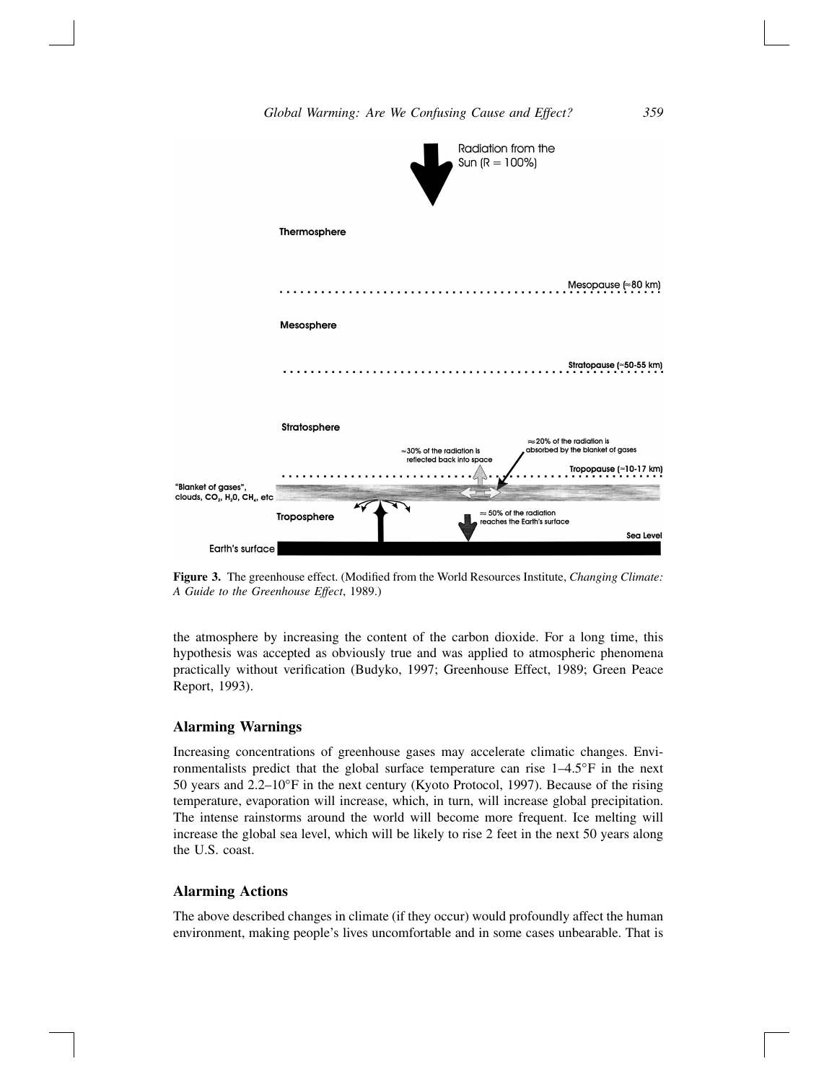

**Figure 3.** The greenhouse effect. (Modified from the World Resources Institute, *Changing Climate: A Guide to the Greenhouse Effect*, 1989.)

the atmosphere by increasing the content of the carbon dioxide. For a long time, this hypothesis was accepted as obviously true and was applied to atmospheric phenomena practically without verification (Budyko, 1997; Greenhouse Effect, 1989; Green Peace Report, 1993).

### **Alarming Warnings**

Increasing concentrations of greenhouse gases may accelerate climatic changes. Environmentalists predict that the global surface temperature can rise 1–4.5◦F in the next 50 years and 2.2–10◦F in the next century (Kyoto Protocol, 1997). Because of the rising temperature, evaporation will increase, which, in turn, will increase global precipitation. The intense rainstorms around the world will become more frequent. Ice melting will increase the global sea level, which will be likely to rise 2 feet in the next 50 years along the U.S. coast.

# **Alarming Actions**

The above described changes in climate (if they occur) would profoundly affect the human environment, making people's lives uncomfortable and in some cases unbearable. That is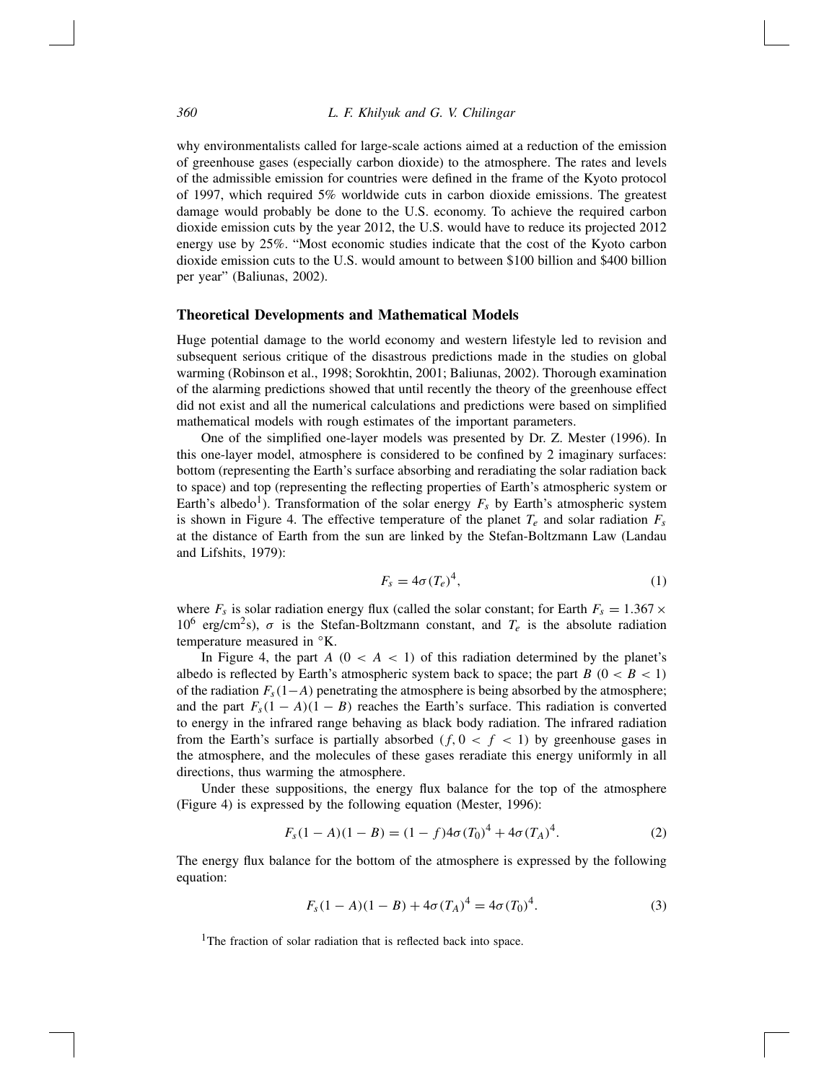why environmentalists called for large-scale actions aimed at a reduction of the emission of greenhouse gases (especially carbon dioxide) to the atmosphere. The rates and levels of the admissible emission for countries were defined in the frame of the Kyoto protocol of 1997, which required 5% worldwide cuts in carbon dioxide emissions. The greatest damage would probably be done to the U.S. economy. To achieve the required carbon dioxide emission cuts by the year 2012, the U.S. would have to reduce its projected 2012 energy use by 25%. "Most economic studies indicate that the cost of the Kyoto carbon dioxide emission cuts to the U.S. would amount to between \$100 billion and \$400 billion per year" (Baliunas, 2002).

# **Theoretical Developments and Mathematical Models**

Huge potential damage to the world economy and western lifestyle led to revision and subsequent serious critique of the disastrous predictions made in the studies on global warming (Robinson et al., 1998; Sorokhtin, 2001; Baliunas, 2002). Thorough examination of the alarming predictions showed that until recently the theory of the greenhouse effect did not exist and all the numerical calculations and predictions were based on simplified mathematical models with rough estimates of the important parameters.

One of the simplified one-layer models was presented by Dr. Z. Mester (1996). In this one-layer model, atmosphere is considered to be confined by 2 imaginary surfaces: bottom (representing the Earth's surface absorbing and reradiating the solar radiation back to space) and top (representing the reflecting properties of Earth's atmospheric system or Earth's albedo<sup>1</sup>). Transformation of the solar energy  $F_s$  by Earth's atmospheric system is shown in Figure 4. The effective temperature of the planet  $T_e$  and solar radiation  $F_s$ at the distance of Earth from the sun are linked by the Stefan-Boltzmann Law (Landau and Lifshits, 1979):

$$
F_s = 4\sigma (T_e)^4, \tag{1}
$$

where  $F_s$  is solar radiation energy flux (called the solar constant; for Earth  $F_s = 1.367 \times$ 10<sup>6</sup> erg/cm<sup>2</sup>s),  $\sigma$  is the Stefan-Boltzmann constant, and  $T_e$  is the absolute radiation temperature measured in ◦K.

In Figure 4, the part  $A$  ( $0 < A < 1$ ) of this radiation determined by the planet's albedo is reflected by Earth's atmospheric system back to space; the part  $B$  ( $0 < B < 1$ ) of the radiation  $F_s(1-A)$  penetrating the atmosphere is being absorbed by the atmosphere; and the part  $F_s(1 - A)(1 - B)$  reaches the Earth's surface. This radiation is converted to energy in the infrared range behaving as black body radiation. The infrared radiation from the Earth's surface is partially absorbed  $(f, 0 < f < 1)$  by greenhouse gases in the atmosphere, and the molecules of these gases reradiate this energy uniformly in all directions, thus warming the atmosphere.

Under these suppositions, the energy flux balance for the top of the atmosphere (Figure 4) is expressed by the following equation (Mester, 1996):

$$
F_s(1-A)(1-B) = (1-f)4\sigma (T_0)^4 + 4\sigma (T_A)^4.
$$
 (2)

The energy flux balance for the bottom of the atmosphere is expressed by the following equation:

$$
F_s(1-A)(1-B) + 4\sigma (T_A)^4 = 4\sigma (T_0)^4.
$$
 (3)

<sup>1</sup>The fraction of solar radiation that is reflected back into space.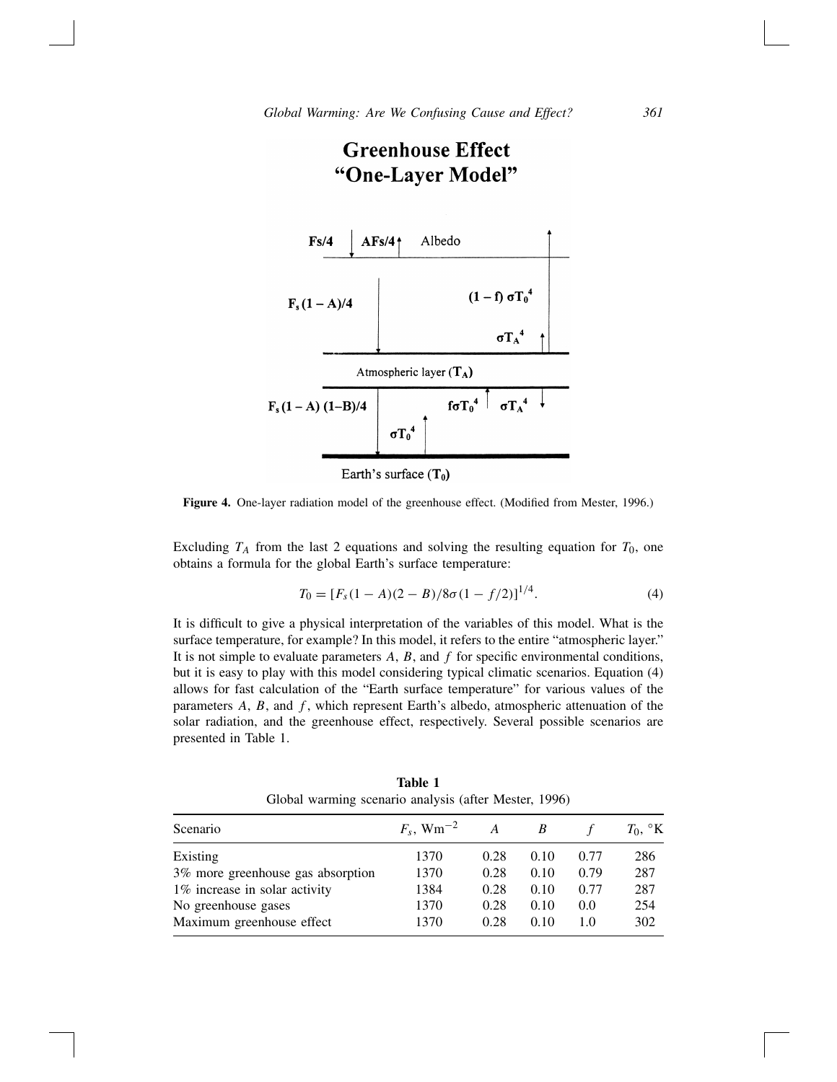# **Greenhouse Effect** "One-Layer Model"



Earth's surface  $(T_0)$ 

**Figure 4.** One-layer radiation model of the greenhouse effect. (Modified from Mester, 1996.)

Excluding  $T_A$  from the last 2 equations and solving the resulting equation for  $T_0$ , one obtains a formula for the global Earth's surface temperature:

$$
T_0 = [F_s(1-A)(2-B)/8\sigma(1-f/2)]^{1/4}.
$$
 (4)

It is difficult to give a physical interpretation of the variables of this model. What is the surface temperature, for example? In this model, it refers to the entire "atmospheric layer." It is not simple to evaluate parameters  $A$ ,  $B$ , and  $f$  for specific environmental conditions, but it is easy to play with this model considering typical climatic scenarios. Equation (4) allows for fast calculation of the "Earth surface temperature" for various values of the parameters  $A$ ,  $B$ , and  $f$ , which represent Earth's albedo, atmospheric attenuation of the solar radiation, and the greenhouse effect, respectively. Several possible scenarios are presented in Table 1.

| Scenario                          | $F_s$ , Wm <sup>-2</sup> | A    | B    |      | $T_0$ , $\mathcal{R}$ |
|-----------------------------------|--------------------------|------|------|------|-----------------------|
| Existing                          | 1370                     | 0.28 | 0.10 | 0.77 | 286                   |
| 3% more greenhouse gas absorption | 1370                     | 0.28 | 0.10 | 0.79 | 287                   |
| 1% increase in solar activity     | 1384                     | 0.28 | 0.10 | 0.77 | 287                   |
| No greenhouse gases               | 1370                     | 0.28 | 0.10 | 0.0  | 254                   |
| Maximum greenhouse effect         | 1370                     | 0.28 | 0.10 | 1.0  | 302                   |

**Table 1** Global warming scenario analysis (after Mester, 1996)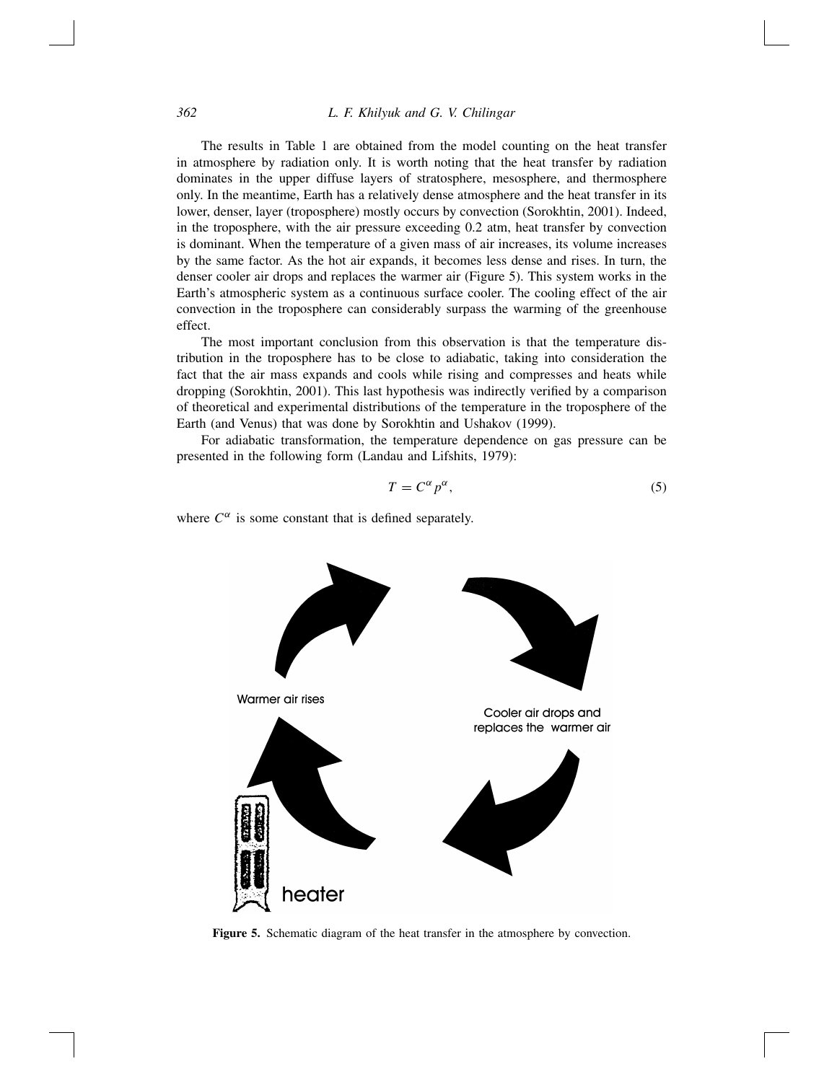The results in Table 1 are obtained from the model counting on the heat transfer in atmosphere by radiation only. It is worth noting that the heat transfer by radiation dominates in the upper diffuse layers of stratosphere, mesosphere, and thermosphere only. In the meantime, Earth has a relatively dense atmosphere and the heat transfer in its lower, denser, layer (troposphere) mostly occurs by convection (Sorokhtin, 2001). Indeed, in the troposphere, with the air pressure exceeding 0.2 atm, heat transfer by convection is dominant. When the temperature of a given mass of air increases, its volume increases by the same factor. As the hot air expands, it becomes less dense and rises. In turn, the denser cooler air drops and replaces the warmer air (Figure 5). This system works in the Earth's atmospheric system as a continuous surface cooler. The cooling effect of the air convection in the troposphere can considerably surpass the warming of the greenhouse effect.

The most important conclusion from this observation is that the temperature distribution in the troposphere has to be close to adiabatic, taking into consideration the fact that the air mass expands and cools while rising and compresses and heats while dropping (Sorokhtin, 2001). This last hypothesis was indirectly verified by a comparison of theoretical and experimental distributions of the temperature in the troposphere of the Earth (and Venus) that was done by Sorokhtin and Ushakov (1999).

For adiabatic transformation, the temperature dependence on gas pressure can be presented in the following form (Landau and Lifshits, 1979):

$$
T = C^{\alpha} p^{\alpha}, \tag{5}
$$

where  $C^{\alpha}$  is some constant that is defined separately.



**Figure 5.** Schematic diagram of the heat transfer in the atmosphere by convection.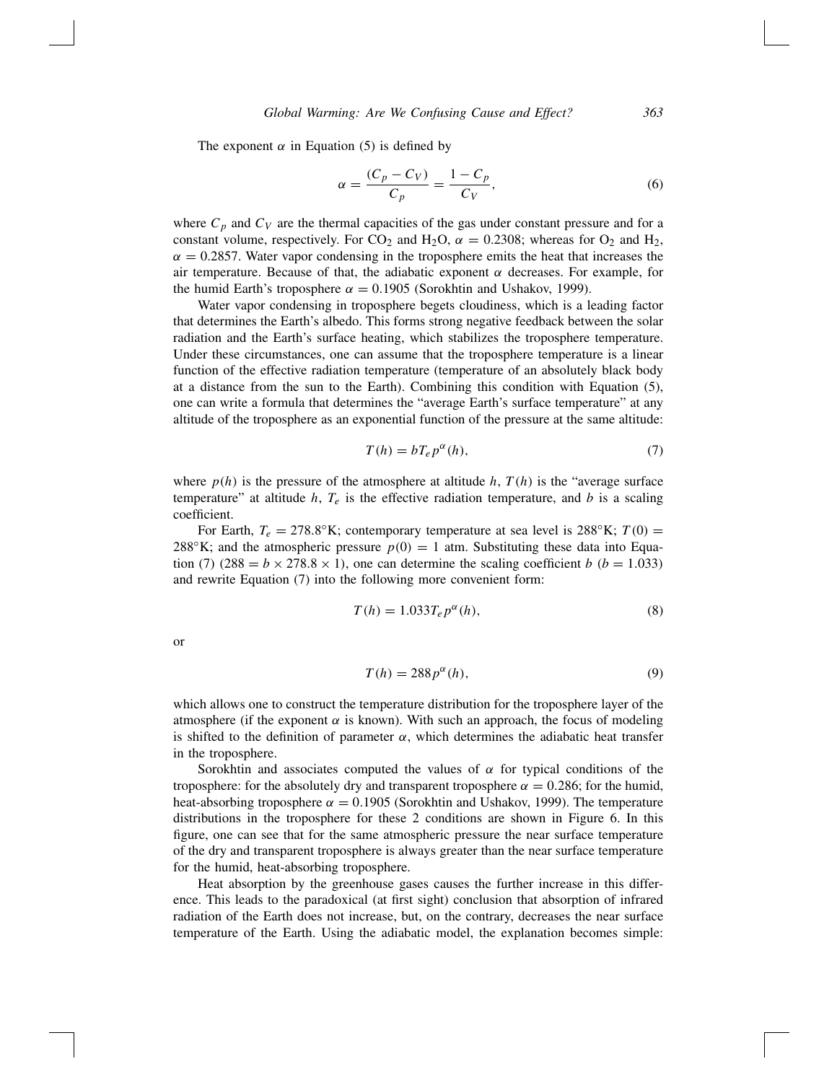The exponent  $\alpha$  in Equation (5) is defined by

$$
\alpha = \frac{(C_p - C_V)}{C_p} = \frac{1 - C_p}{C_V},\tag{6}
$$

where  $C_p$  and  $C_V$  are the thermal capacities of the gas under constant pressure and for a constant volume, respectively. For CO<sub>2</sub> and H<sub>2</sub>O,  $\alpha = 0.2308$ ; whereas for O<sub>2</sub> and H<sub>2</sub>,  $\alpha = 0.2857$ . Water vapor condensing in the troposphere emits the heat that increases the air temperature. Because of that, the adiabatic exponent  $\alpha$  decreases. For example, for the humid Earth's troposphere  $\alpha = 0.1905$  (Sorokhtin and Ushakov, 1999).

Water vapor condensing in troposphere begets cloudiness, which is a leading factor that determines the Earth's albedo. This forms strong negative feedback between the solar radiation and the Earth's surface heating, which stabilizes the troposphere temperature. Under these circumstances, one can assume that the troposphere temperature is a linear function of the effective radiation temperature (temperature of an absolutely black body at a distance from the sun to the Earth). Combining this condition with Equation (5), one can write a formula that determines the "average Earth's surface temperature" at any altitude of the troposphere as an exponential function of the pressure at the same altitude:

$$
T(h) = bT_e p^{\alpha}(h),\tag{7}
$$

where  $p(h)$  is the pressure of the atmosphere at altitude h,  $T(h)$  is the "average surface" temperature" at altitude  $h$ ,  $T_e$  is the effective radiation temperature, and  $b$  is a scaling coefficient.

For Earth,  $T_e = 278.8 °\text{K}$ ; contemporary temperature at sea level is 288°K;  $T(0) =$ 288°K; and the atmospheric pressure  $p(0) = 1$  atm. Substituting these data into Equation (7) (288 =  $b \times 278.8 \times 1$ ), one can determine the scaling coefficient  $b$  ( $b = 1.033$ ) and rewrite Equation (7) into the following more convenient form:

$$
T(h) = 1.033T_e p^{\alpha}(h),\tag{8}
$$

or

$$
T(h) = 288p^{\alpha}(h),\tag{9}
$$

which allows one to construct the temperature distribution for the troposphere layer of the atmosphere (if the exponent  $\alpha$  is known). With such an approach, the focus of modeling is shifted to the definition of parameter  $\alpha$ , which determines the adiabatic heat transfer in the troposphere.

Sorokhtin and associates computed the values of  $\alpha$  for typical conditions of the troposphere: for the absolutely dry and transparent troposphere  $\alpha = 0.286$ ; for the humid, heat-absorbing troposphere  $\alpha = 0.1905$  (Sorokhtin and Ushakov, 1999). The temperature distributions in the troposphere for these 2 conditions are shown in Figure 6. In this figure, one can see that for the same atmospheric pressure the near surface temperature of the dry and transparent troposphere is always greater than the near surface temperature for the humid, heat-absorbing troposphere.

Heat absorption by the greenhouse gases causes the further increase in this difference. This leads to the paradoxical (at first sight) conclusion that absorption of infrared radiation of the Earth does not increase, but, on the contrary, decreases the near surface temperature of the Earth. Using the adiabatic model, the explanation becomes simple: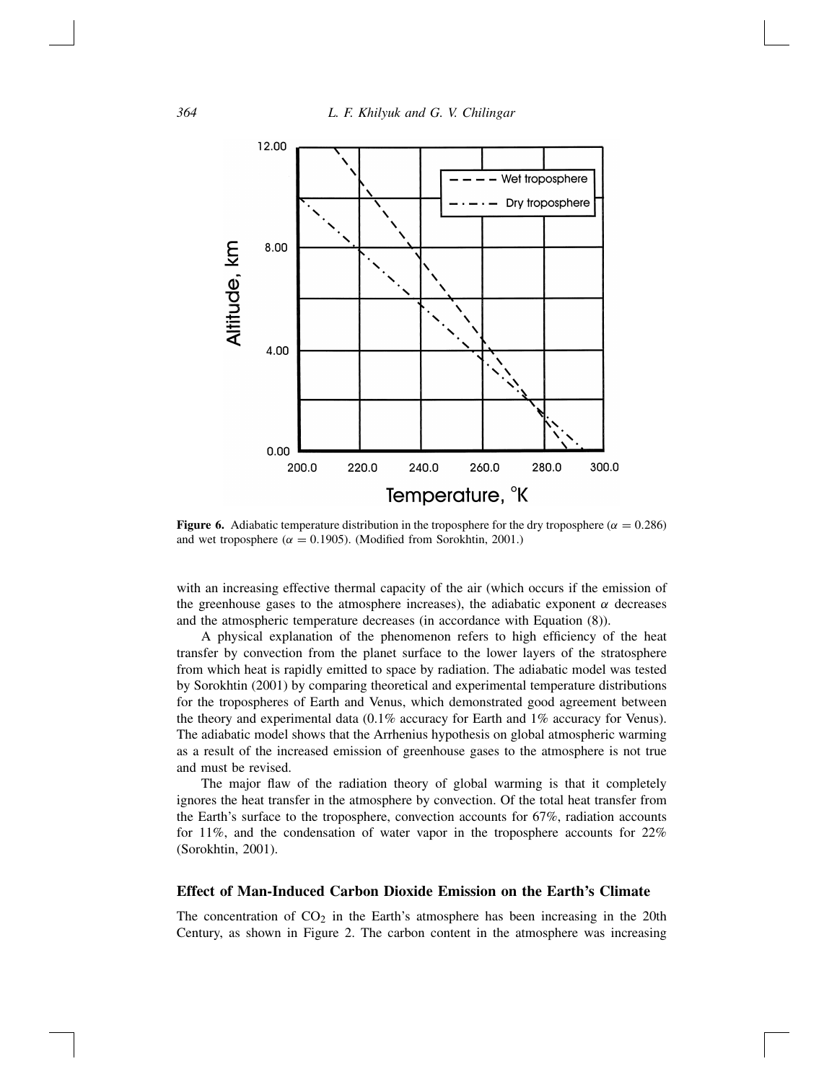*364 L. F. Khilyuk and G. V. Chilingar*



**Figure 6.** Adiabatic temperature distribution in the troposphere for the dry troposphere ( $\alpha = 0.286$ ) and wet troposphere ( $\alpha = 0.1905$ ). (Modified from Sorokhtin, 2001.)

with an increasing effective thermal capacity of the air (which occurs if the emission of the greenhouse gases to the atmosphere increases), the adiabatic exponent  $\alpha$  decreases and the atmospheric temperature decreases (in accordance with Equation (8)).

A physical explanation of the phenomenon refers to high efficiency of the heat transfer by convection from the planet surface to the lower layers of the stratosphere from which heat is rapidly emitted to space by radiation. The adiabatic model was tested by Sorokhtin (2001) by comparing theoretical and experimental temperature distributions for the tropospheres of Earth and Venus, which demonstrated good agreement between the theory and experimental data (0.1% accuracy for Earth and 1% accuracy for Venus). The adiabatic model shows that the Arrhenius hypothesis on global atmospheric warming as a result of the increased emission of greenhouse gases to the atmosphere is not true and must be revised.

The major flaw of the radiation theory of global warming is that it completely ignores the heat transfer in the atmosphere by convection. Of the total heat transfer from the Earth's surface to the troposphere, convection accounts for 67%, radiation accounts for 11%, and the condensation of water vapor in the troposphere accounts for 22% (Sorokhtin, 2001).

### **Effect of Man-Induced Carbon Dioxide Emission on the Earth's Climate**

The concentration of  $CO<sub>2</sub>$  in the Earth's atmosphere has been increasing in the 20th Century, as shown in Figure 2. The carbon content in the atmosphere was increasing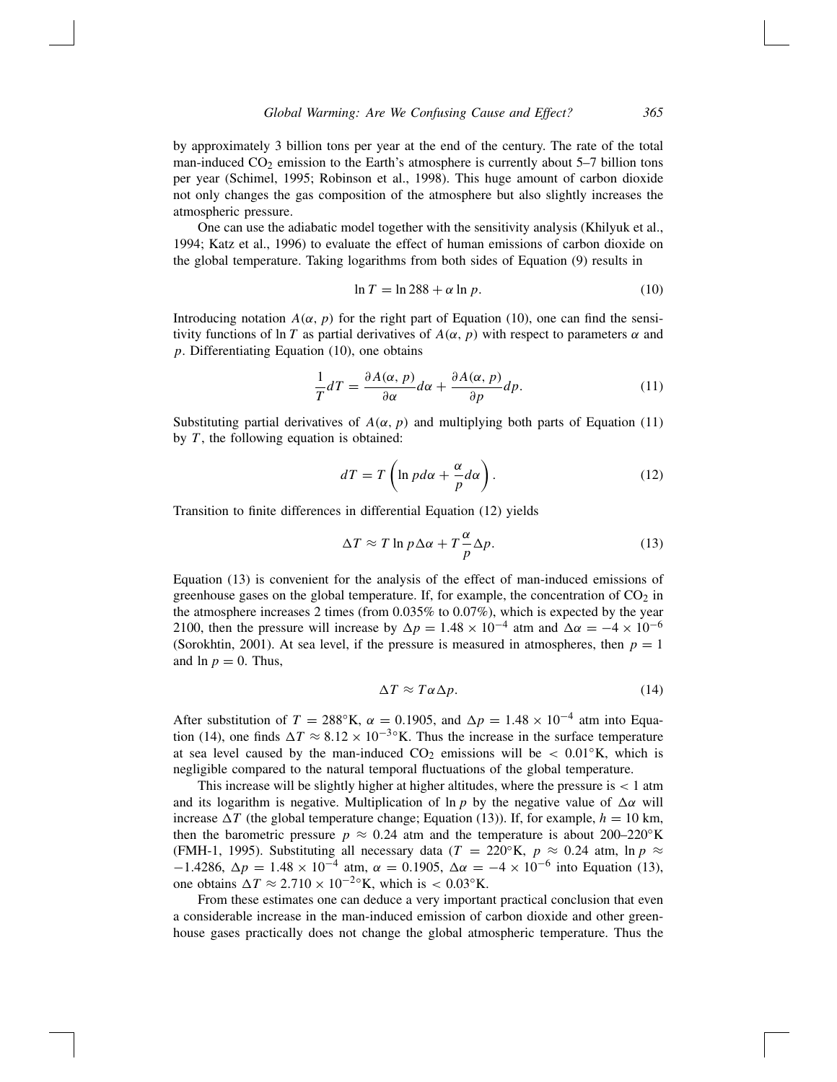by approximately 3 billion tons per year at the end of the century. The rate of the total man-induced  $CO<sub>2</sub>$  emission to the Earth's atmosphere is currently about 5–7 billion tons per year (Schimel, 1995; Robinson et al., 1998). This huge amount of carbon dioxide not only changes the gas composition of the atmosphere but also slightly increases the atmospheric pressure.

One can use the adiabatic model together with the sensitivity analysis (Khilyuk et al., 1994; Katz et al., 1996) to evaluate the effect of human emissions of carbon dioxide on the global temperature. Taking logarithms from both sides of Equation (9) results in

$$
\ln T = \ln 288 + \alpha \ln p. \tag{10}
$$

Introducing notation  $A(\alpha, p)$  for the right part of Equation (10), one can find the sensitivity functions of ln T as partial derivatives of  $A(\alpha, p)$  with respect to parameters  $\alpha$  and  $p$ . Differentiating Equation (10), one obtains

$$
\frac{1}{T}dT = \frac{\partial A(\alpha, p)}{\partial \alpha} d\alpha + \frac{\partial A(\alpha, p)}{\partial p} dp.
$$
\n(11)

Substituting partial derivatives of  $A(\alpha, p)$  and multiplying both parts of Equation (11) by  $T$ , the following equation is obtained:

$$
dT = T \left( \ln p d\alpha + \frac{\alpha}{p} d\alpha \right). \tag{12}
$$

Transition to finite differences in differential Equation (12) yields

$$
\Delta T \approx T \ln p \Delta \alpha + T \frac{\alpha}{p} \Delta p. \tag{13}
$$

Equation (13) is convenient for the analysis of the effect of man-induced emissions of greenhouse gases on the global temperature. If, for example, the concentration of  $CO<sub>2</sub>$  in the atmosphere increases 2 times (from 0.035% to 0.07%), which is expected by the year 2100, then the pressure will increase by  $\Delta p = 1.48 \times 10^{-4}$  atm and  $\Delta \alpha = -4 \times 10^{-6}$ (Sorokhtin, 2001). At sea level, if the pressure is measured in atmospheres, then  $p = 1$ and  $\ln p = 0$ . Thus,

$$
\Delta T \approx T \alpha \Delta p. \tag{14}
$$

After substitution of  $T = 288^\circ\text{K}$ ,  $\alpha = 0.1905$ , and  $\Delta p = 1.48 \times 10^{-4}$  atm into Equation (14), one finds  $\Delta T \approx 8.12 \times 10^{-3}$ °K. Thus the increase in the surface temperature at sea level caused by the man-induced  $CO<sub>2</sub>$  emissions will be  $\lt$  0.01°K, which is negligible compared to the natural temporal fluctuations of the global temperature.

This increase will be slightly higher at higher altitudes, where the pressure is  $\lt 1$  atm and its logarithm is negative. Multiplication of ln p by the negative value of  $\Delta \alpha$  will increase  $\Delta T$  (the global temperature change; Equation (13)). If, for example,  $h = 10$  km, then the barometric pressure  $p \approx 0.24$  atm and the temperature is about 200–220°K (FMH-1, 1995). Substituting all necessary data ( $T = 220\text{°K}$ ,  $p \approx 0.24$  atm,  $\ln p \approx$ −1.4286,  $\Delta p = 1.48 \times 10^{-4}$  atm,  $\alpha = 0.1905$ ,  $\Delta \alpha = -4 \times 10^{-6}$  into Equation (13), one obtains  $\Delta T \approx 2.710 \times 10^{-2}$ °K, which is < 0.03°K.

From these estimates one can deduce a very important practical conclusion that even a considerable increase in the man-induced emission of carbon dioxide and other greenhouse gases practically does not change the global atmospheric temperature. Thus the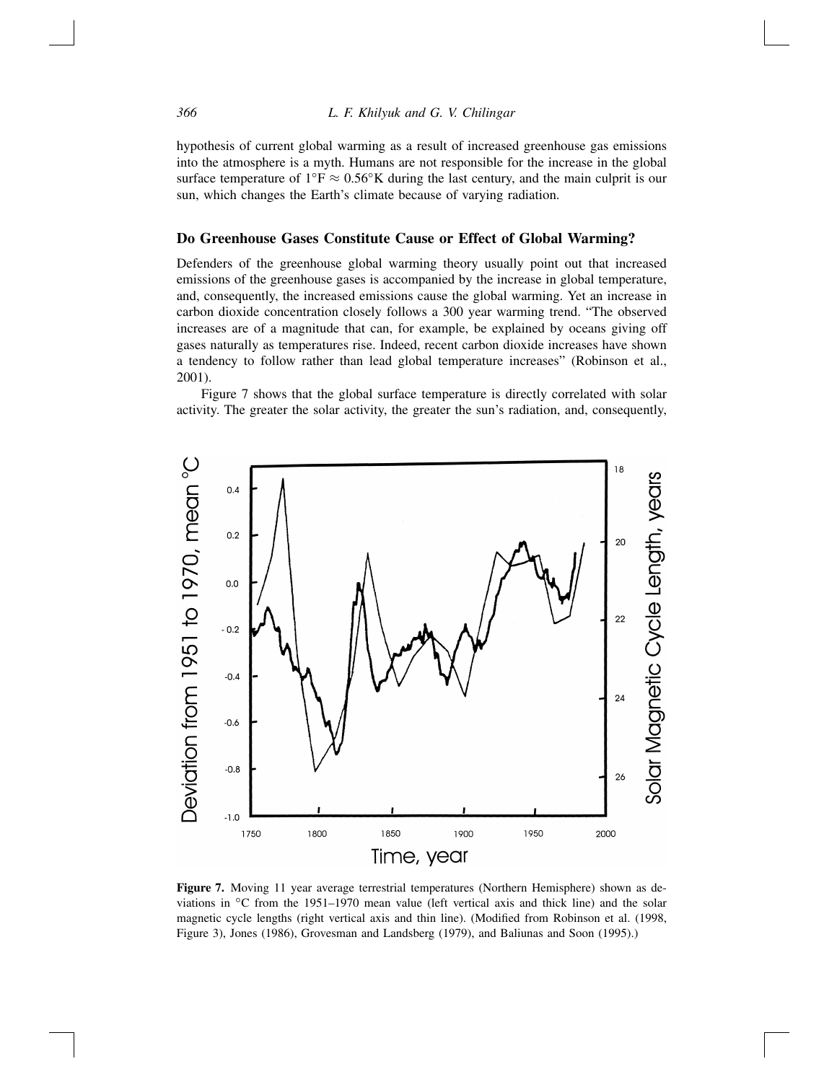hypothesis of current global warming as a result of increased greenhouse gas emissions into the atmosphere is a myth. Humans are not responsible for the increase in the global surface temperature of  $1°F \approx 0.56°K$  during the last century, and the main culprit is our sun, which changes the Earth's climate because of varying radiation.

### **Do Greenhouse Gases Constitute Cause or Effect of Global Warming?**

Defenders of the greenhouse global warming theory usually point out that increased emissions of the greenhouse gases is accompanied by the increase in global temperature, and, consequently, the increased emissions cause the global warming. Yet an increase in carbon dioxide concentration closely follows a 300 year warming trend. "The observed increases are of a magnitude that can, for example, be explained by oceans giving off gases naturally as temperatures rise. Indeed, recent carbon dioxide increases have shown a tendency to follow rather than lead global temperature increases" (Robinson et al., 2001).

Figure 7 shows that the global surface temperature is directly correlated with solar activity. The greater the solar activity, the greater the sun's radiation, and, consequently,



Figure 7. Moving 11 year average terrestrial temperatures (Northern Hemisphere) shown as deviations in  $°C$  from the 1951–1970 mean value (left vertical axis and thick line) and the solar magnetic cycle lengths (right vertical axis and thin line). (Modified from Robinson et al. (1998, Figure 3), Jones (1986), Grovesman and Landsberg (1979), and Baliunas and Soon (1995).)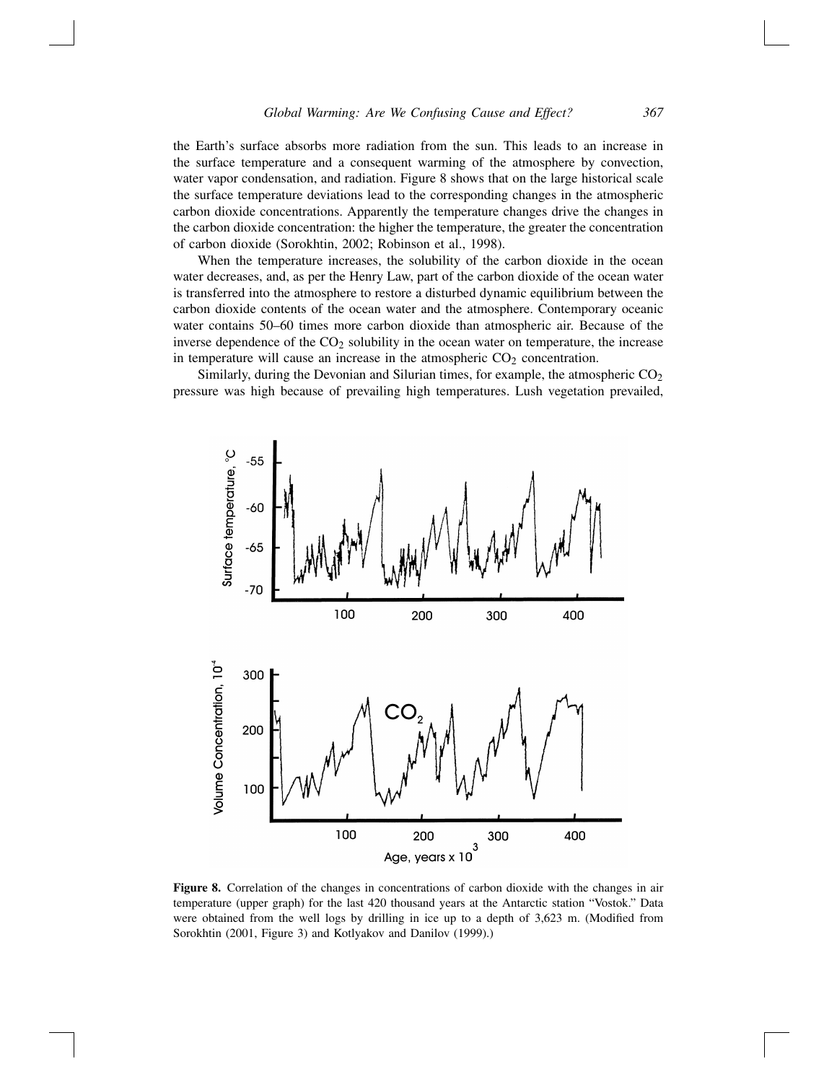the Earth's surface absorbs more radiation from the sun. This leads to an increase in the surface temperature and a consequent warming of the atmosphere by convection, water vapor condensation, and radiation. Figure 8 shows that on the large historical scale the surface temperature deviations lead to the corresponding changes in the atmospheric carbon dioxide concentrations. Apparently the temperature changes drive the changes in the carbon dioxide concentration: the higher the temperature, the greater the concentration of carbon dioxide (Sorokhtin, 2002; Robinson et al., 1998).

When the temperature increases, the solubility of the carbon dioxide in the ocean water decreases, and, as per the Henry Law, part of the carbon dioxide of the ocean water is transferred into the atmosphere to restore a disturbed dynamic equilibrium between the carbon dioxide contents of the ocean water and the atmosphere. Contemporary oceanic water contains 50–60 times more carbon dioxide than atmospheric air. Because of the inverse dependence of the  $CO<sub>2</sub>$  solubility in the ocean water on temperature, the increase in temperature will cause an increase in the atmospheric  $CO<sub>2</sub>$  concentration.

Similarly, during the Devonian and Silurian times, for example, the atmospheric  $CO<sub>2</sub>$ pressure was high because of prevailing high temperatures. Lush vegetation prevailed,



**Figure 8.** Correlation of the changes in concentrations of carbon dioxide with the changes in air temperature (upper graph) for the last 420 thousand years at the Antarctic station "Vostok." Data were obtained from the well logs by drilling in ice up to a depth of 3,623 m. (Modified from Sorokhtin (2001, Figure 3) and Kotlyakov and Danilov (1999).)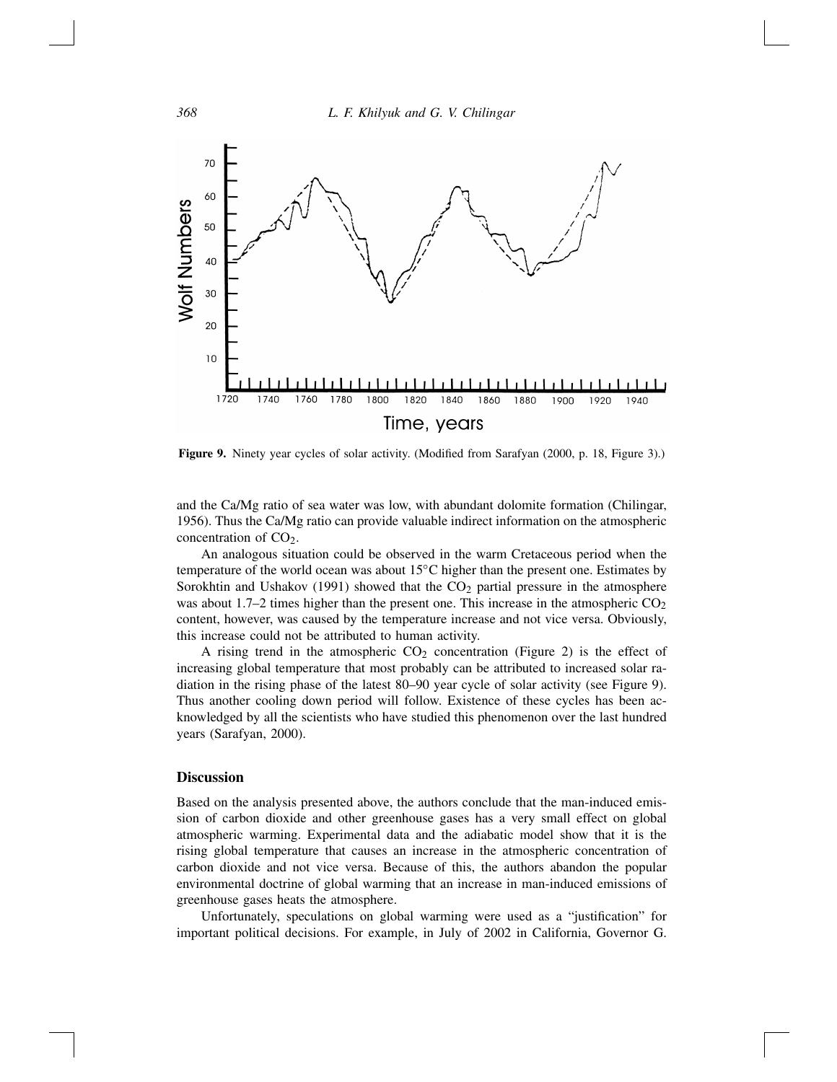

**Figure 9.** Ninety year cycles of solar activity. (Modified from Sarafyan (2000, p. 18, Figure 3).)

and the Ca/Mg ratio of sea water was low, with abundant dolomite formation (Chilingar, 1956). Thus the Ca/Mg ratio can provide valuable indirect information on the atmospheric concentration of  $CO<sub>2</sub>$ .

An analogous situation could be observed in the warm Cretaceous period when the temperature of the world ocean was about 15◦C higher than the present one. Estimates by Sorokhtin and Ushakov (1991) showed that the  $CO<sub>2</sub>$  partial pressure in the atmosphere was about 1.7–2 times higher than the present one. This increase in the atmospheric  $CO<sub>2</sub>$ content, however, was caused by the temperature increase and not vice versa. Obviously, this increase could not be attributed to human activity.

A rising trend in the atmospheric  $CO<sub>2</sub>$  concentration (Figure 2) is the effect of increasing global temperature that most probably can be attributed to increased solar radiation in the rising phase of the latest 80–90 year cycle of solar activity (see Figure 9). Thus another cooling down period will follow. Existence of these cycles has been acknowledged by all the scientists who have studied this phenomenon over the last hundred years (Sarafyan, 2000).

### **Discussion**

Based on the analysis presented above, the authors conclude that the man-induced emission of carbon dioxide and other greenhouse gases has a very small effect on global atmospheric warming. Experimental data and the adiabatic model show that it is the rising global temperature that causes an increase in the atmospheric concentration of carbon dioxide and not vice versa. Because of this, the authors abandon the popular environmental doctrine of global warming that an increase in man-induced emissions of greenhouse gases heats the atmosphere.

Unfortunately, speculations on global warming were used as a "justification" for important political decisions. For example, in July of 2002 in California, Governor G.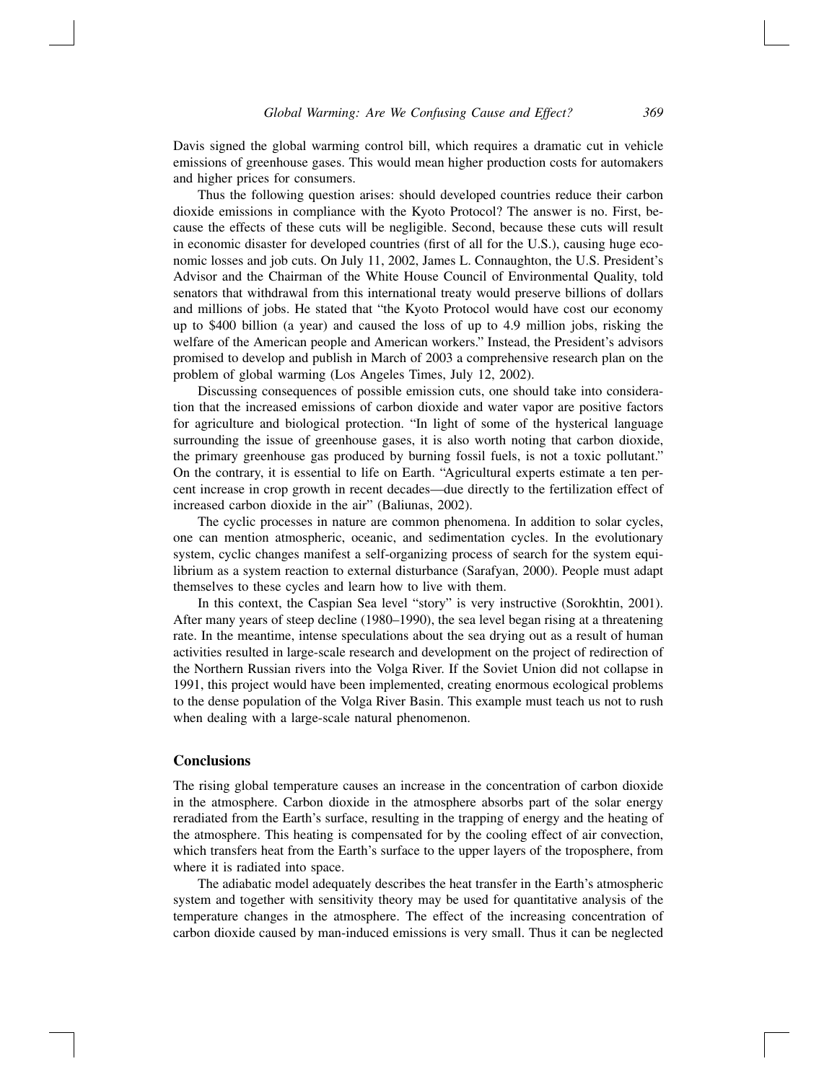Davis signed the global warming control bill, which requires a dramatic cut in vehicle emissions of greenhouse gases. This would mean higher production costs for automakers and higher prices for consumers.

Thus the following question arises: should developed countries reduce their carbon dioxide emissions in compliance with the Kyoto Protocol? The answer is no. First, because the effects of these cuts will be negligible. Second, because these cuts will result in economic disaster for developed countries (first of all for the U.S.), causing huge economic losses and job cuts. On July 11, 2002, James L. Connaughton, the U.S. President's Advisor and the Chairman of the White House Council of Environmental Quality, told senators that withdrawal from this international treaty would preserve billions of dollars and millions of jobs. He stated that "the Kyoto Protocol would have cost our economy up to \$400 billion (a year) and caused the loss of up to 4.9 million jobs, risking the welfare of the American people and American workers." Instead, the President's advisors promised to develop and publish in March of 2003 a comprehensive research plan on the problem of global warming (Los Angeles Times, July 12, 2002).

Discussing consequences of possible emission cuts, one should take into consideration that the increased emissions of carbon dioxide and water vapor are positive factors for agriculture and biological protection. "In light of some of the hysterical language surrounding the issue of greenhouse gases, it is also worth noting that carbon dioxide, the primary greenhouse gas produced by burning fossil fuels, is not a toxic pollutant." On the contrary, it is essential to life on Earth. "Agricultural experts estimate a ten percent increase in crop growth in recent decades—due directly to the fertilization effect of increased carbon dioxide in the air" (Baliunas, 2002).

The cyclic processes in nature are common phenomena. In addition to solar cycles, one can mention atmospheric, oceanic, and sedimentation cycles. In the evolutionary system, cyclic changes manifest a self-organizing process of search for the system equilibrium as a system reaction to external disturbance (Sarafyan, 2000). People must adapt themselves to these cycles and learn how to live with them.

In this context, the Caspian Sea level "story" is very instructive (Sorokhtin, 2001). After many years of steep decline (1980–1990), the sea level began rising at a threatening rate. In the meantime, intense speculations about the sea drying out as a result of human activities resulted in large-scale research and development on the project of redirection of the Northern Russian rivers into the Volga River. If the Soviet Union did not collapse in 1991, this project would have been implemented, creating enormous ecological problems to the dense population of the Volga River Basin. This example must teach us not to rush when dealing with a large-scale natural phenomenon.

### **Conclusions**

The rising global temperature causes an increase in the concentration of carbon dioxide in the atmosphere. Carbon dioxide in the atmosphere absorbs part of the solar energy reradiated from the Earth's surface, resulting in the trapping of energy and the heating of the atmosphere. This heating is compensated for by the cooling effect of air convection, which transfers heat from the Earth's surface to the upper layers of the troposphere, from where it is radiated into space.

The adiabatic model adequately describes the heat transfer in the Earth's atmospheric system and together with sensitivity theory may be used for quantitative analysis of the temperature changes in the atmosphere. The effect of the increasing concentration of carbon dioxide caused by man-induced emissions is very small. Thus it can be neglected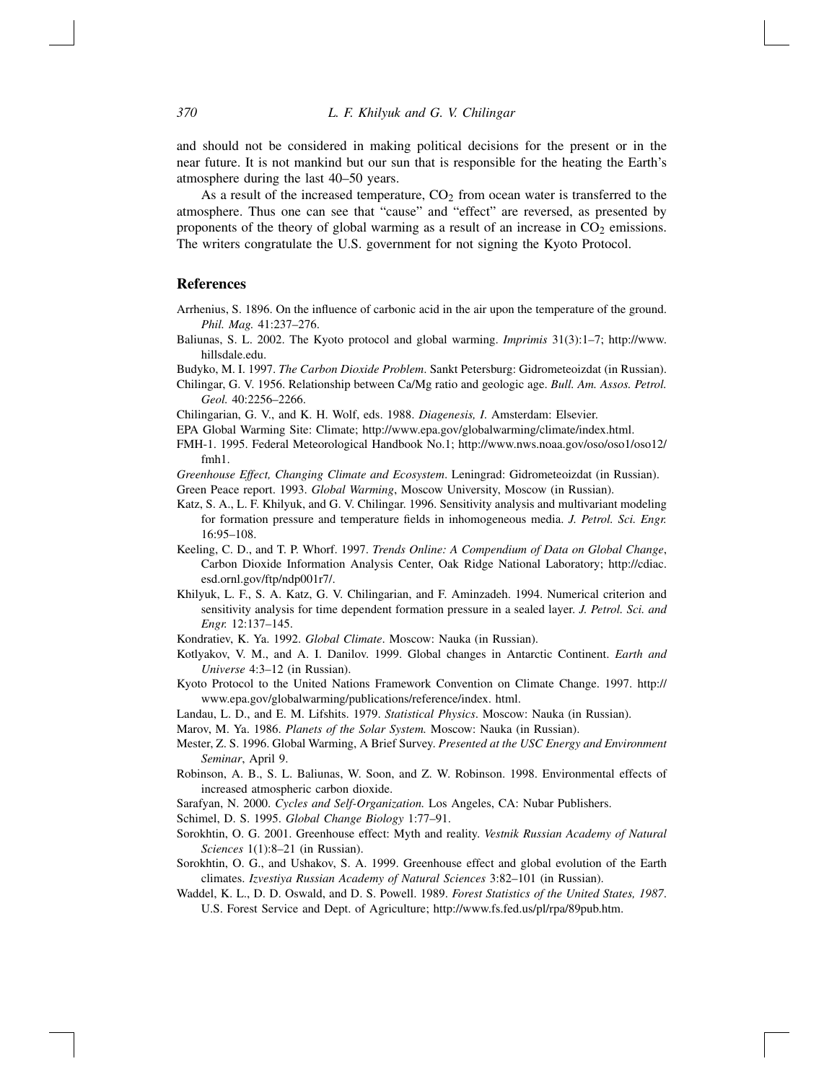and should not be considered in making political decisions for the present or in the near future. It is not mankind but our sun that is responsible for the heating the Earth's atmosphere during the last 40–50 years.

As a result of the increased temperature,  $CO<sub>2</sub>$  from ocean water is transferred to the atmosphere. Thus one can see that "cause" and "effect" are reversed, as presented by proponents of the theory of global warming as a result of an increase in  $CO<sub>2</sub>$  emissions. The writers congratulate the U.S. government for not signing the Kyoto Protocol.

# **References**

- Arrhenius, S. 1896. On the influence of carbonic acid in the air upon the temperature of the ground. *Phil. Mag.* 41:237–276.
- Baliunas, S. L. 2002. The Kyoto protocol and global warming. *Imprimis* 31(3):1–7; http://www. hillsdale.edu.

Budyko, M. I. 1997. *The Carbon Dioxide Problem*. Sankt Petersburg: Gidrometeoizdat (in Russian).

Chilingar, G. V. 1956. Relationship between Ca/Mg ratio and geologic age. *Bull. Am. Assos. Petrol. Geol.* 40:2256–2266.

Chilingarian, G. V., and K. H. Wolf, eds. 1988. *Diagenesis, I*. Amsterdam: Elsevier.

- EPA Global Warming Site: Climate; http://www.epa.gov/globalwarming/climate/index.html.
- FMH-1. 1995. Federal Meteorological Handbook No.1; http://www.nws.noaa.gov/oso/oso1/oso12/ fmh1.

*Greenhouse Effect, Changing Climate and Ecosystem*. Leningrad: Gidrometeoizdat (in Russian).

Green Peace report. 1993. *Global Warming*, Moscow University, Moscow (in Russian).

- Katz, S. A., L. F. Khilyuk, and G. V. Chilingar. 1996. Sensitivity analysis and multivariant modeling for formation pressure and temperature fields in inhomogeneous media. *J. Petrol. Sci. Engr.* 16:95–108.
- Keeling, C. D., and T. P. Whorf. 1997. *Trends Online: A Compendium of Data on Global Change*, Carbon Dioxide Information Analysis Center, Oak Ridge National Laboratory; http://cdiac. esd.ornl.gov/ftp/ndp001r7/.
- Khilyuk, L. F., S. A. Katz, G. V. Chilingarian, and F. Aminzadeh. 1994. Numerical criterion and sensitivity analysis for time dependent formation pressure in a sealed layer. *J. Petrol. Sci. and Engr.* 12:137–145.
- Kondratiev, K. Ya. 1992. *Global Climate*. Moscow: Nauka (in Russian).
- Kotlyakov, V. M., and A. I. Danilov. 1999. Global changes in Antarctic Continent. *Earth and Universe* 4:3–12 (in Russian).
- Kyoto Protocol to the United Nations Framework Convention on Climate Change. 1997. http:// www.epa.gov/globalwarming/publications/reference/index. html.
- Landau, L. D., and E. M. Lifshits. 1979. *Statistical Physics*. Moscow: Nauka (in Russian).
- Marov, M. Ya. 1986. *Planets of the Solar System.* Moscow: Nauka (in Russian).
- Mester, Z. S. 1996. Global Warming, A Brief Survey. *Presented at the USC Energy and Environment Seminar*, April 9.
- Robinson, A. B., S. L. Baliunas, W. Soon, and Z. W. Robinson. 1998. Environmental effects of increased atmospheric carbon dioxide.

Sarafyan, N. 2000. *Cycles and Self-Organization.* Los Angeles, CA: Nubar Publishers.

Schimel, D. S. 1995. *Global Change Biology* 1:77–91.

- Sorokhtin, O. G. 2001. Greenhouse effect: Myth and reality. *Vestnik Russian Academy of Natural Sciences* 1(1):8–21 (in Russian).
- Sorokhtin, O. G., and Ushakov, S. A. 1999. Greenhouse effect and global evolution of the Earth climates. *Izvestiya Russian Academy of Natural Sciences* 3:82–101 (in Russian).
- Waddel, K. L., D. D. Oswald, and D. S. Powell. 1989. *Forest Statistics of the United States, 1987*. U.S. Forest Service and Dept. of Agriculture; http://www.fs.fed.us/pl/rpa/89pub.htm.